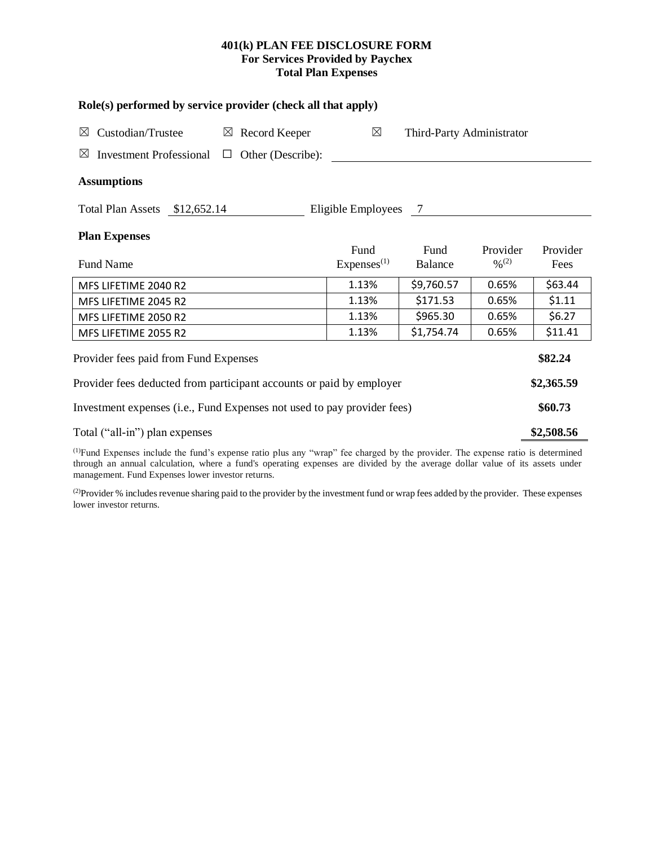# **401(k) PLAN FEE DISCLOSURE FORM For Services Provided by Paychex Total Plan Expenses**

| Role(s) performed by service provider (check all that apply)                 |                                |                           |                                          |                  |  |  |  |  |
|------------------------------------------------------------------------------|--------------------------------|---------------------------|------------------------------------------|------------------|--|--|--|--|
| Custodian/Trustee<br>$\boxtimes$ Record Keeper<br>⊠                          | $\boxtimes$                    | Third-Party Administrator |                                          |                  |  |  |  |  |
| <b>Investment Professional</b><br>Other (Describe):<br>$\boxtimes$<br>$\Box$ |                                |                           |                                          |                  |  |  |  |  |
| <b>Assumptions</b>                                                           |                                |                           |                                          |                  |  |  |  |  |
| Total Plan Assets \$12,652.14<br>Eligible Employees 7                        |                                |                           |                                          |                  |  |  |  |  |
| <b>Plan Expenses</b>                                                         |                                |                           |                                          |                  |  |  |  |  |
| Fund Name                                                                    | Fund<br>Express <sup>(1)</sup> | Fund<br><b>Balance</b>    | Provider<br>$\frac{0}{2}$ <sup>(2)</sup> | Provider<br>Fees |  |  |  |  |
| MFS LIFETIME 2040 R2                                                         | 1.13%                          | \$9,760.57                | 0.65%                                    | \$63.44          |  |  |  |  |
| MFS LIFETIME 2045 R2                                                         | 1.13%                          | \$171.53                  | 0.65%                                    | \$1.11           |  |  |  |  |
| MFS LIFETIME 2050 R2                                                         | 1.13%                          | \$965.30                  | 0.65%                                    | \$6.27           |  |  |  |  |
| MFS LIFETIME 2055 R2                                                         | 1.13%                          | \$1,754.74                | 0.65%                                    | \$11.41          |  |  |  |  |
| Provider fees paid from Fund Expenses                                        |                                |                           |                                          |                  |  |  |  |  |
| Provider fees deducted from participant accounts or paid by employer         |                                |                           |                                          |                  |  |  |  |  |
| Investment expenses (i.e., Fund Expenses not used to pay provider fees)      |                                |                           |                                          |                  |  |  |  |  |
| Total ("all-in") plan expenses                                               |                                |                           |                                          |                  |  |  |  |  |
| (1)                                                                          |                                |                           |                                          |                  |  |  |  |  |

(1)Fund Expenses include the fund's expense ratio plus any "wrap" fee charged by the provider. The expense ratio is determined through an annual calculation, where a fund's operating expenses are divided by the average dollar value of its assets under management. Fund Expenses lower investor returns.

(2) Provider % includes revenue sharing paid to the provider by the investment fund or wrap fees added by the provider. These expenses lower investor returns.